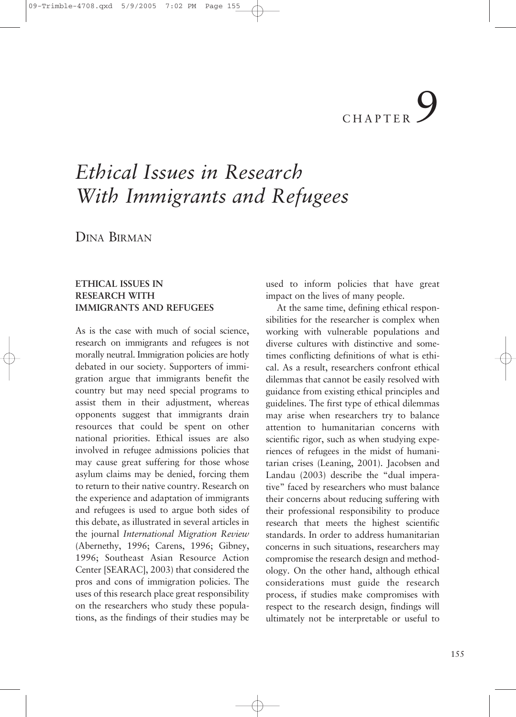# 9 CHAPTER

# *Ethical Issues in Research With Immigrants and Refugees*

DINA BIRMAN

# **ETHICAL ISSUES IN RESEARCH WITH IMMIGRANTS AND REFUGEES**

As is the case with much of social science, research on immigrants and refugees is not morally neutral. Immigration policies are hotly debated in our society. Supporters of immigration argue that immigrants benefit the country but may need special programs to assist them in their adjustment, whereas opponents suggest that immigrants drain resources that could be spent on other national priorities. Ethical issues are also involved in refugee admissions policies that may cause great suffering for those whose asylum claims may be denied, forcing them to return to their native country. Research on the experience and adaptation of immigrants and refugees is used to argue both sides of this debate, as illustrated in several articles in the journal *International Migration Review* (Abernethy, 1996; Carens, 1996; Gibney, 1996; Southeast Asian Resource Action Center [SEARAC], 2003) that considered the pros and cons of immigration policies. The uses of this research place great responsibility on the researchers who study these populations, as the findings of their studies may be used to inform policies that have great impact on the lives of many people.

At the same time, defining ethical responsibilities for the researcher is complex when working with vulnerable populations and diverse cultures with distinctive and sometimes conflicting definitions of what is ethical. As a result, researchers confront ethical dilemmas that cannot be easily resolved with guidance from existing ethical principles and guidelines. The first type of ethical dilemmas may arise when researchers try to balance attention to humanitarian concerns with scientific rigor, such as when studying experiences of refugees in the midst of humanitarian crises (Leaning, 2001). Jacobsen and Landau (2003) describe the "dual imperative" faced by researchers who must balance their concerns about reducing suffering with their professional responsibility to produce research that meets the highest scientific standards. In order to address humanitarian concerns in such situations, researchers may compromise the research design and methodology. On the other hand, although ethical considerations must guide the research process, if studies make compromises with respect to the research design, findings will ultimately not be interpretable or useful to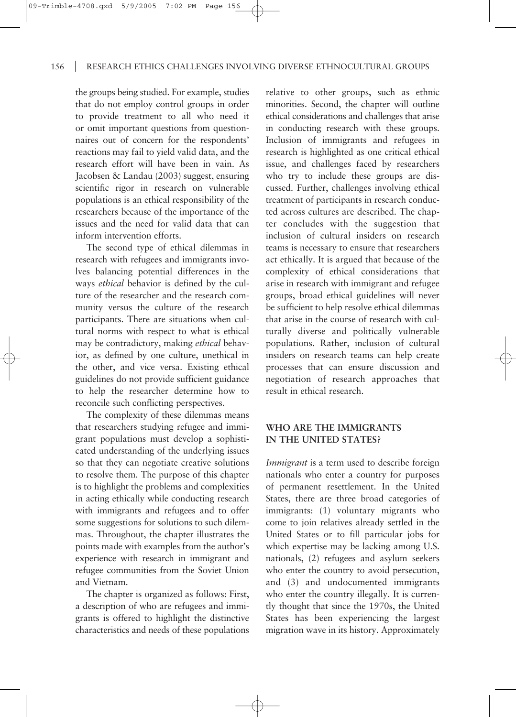the groups being studied. For example, studies that do not employ control groups in order to provide treatment to all who need it or omit important questions from questionnaires out of concern for the respondents' reactions may fail to yield valid data, and the research effort will have been in vain. As Jacobsen & Landau (2003) suggest, ensuring scientific rigor in research on vulnerable populations is an ethical responsibility of the researchers because of the importance of the issues and the need for valid data that can inform intervention efforts.

The second type of ethical dilemmas in research with refugees and immigrants involves balancing potential differences in the ways *ethical* behavior is defined by the culture of the researcher and the research community versus the culture of the research participants. There are situations when cultural norms with respect to what is ethical may be contradictory, making *ethical* behavior, as defined by one culture, unethical in the other, and vice versa. Existing ethical guidelines do not provide sufficient guidance to help the researcher determine how to reconcile such conflicting perspectives.

The complexity of these dilemmas means that researchers studying refugee and immigrant populations must develop a sophisticated understanding of the underlying issues so that they can negotiate creative solutions to resolve them. The purpose of this chapter is to highlight the problems and complexities in acting ethically while conducting research with immigrants and refugees and to offer some suggestions for solutions to such dilemmas. Throughout, the chapter illustrates the points made with examples from the author's experience with research in immigrant and refugee communities from the Soviet Union and Vietnam.

The chapter is organized as follows: First, a description of who are refugees and immigrants is offered to highlight the distinctive characteristics and needs of these populations relative to other groups, such as ethnic minorities. Second, the chapter will outline ethical considerations and challenges that arise in conducting research with these groups. Inclusion of immigrants and refugees in research is highlighted as one critical ethical issue, and challenges faced by researchers who try to include these groups are discussed. Further, challenges involving ethical treatment of participants in research conducted across cultures are described. The chapter concludes with the suggestion that inclusion of cultural insiders on research teams is necessary to ensure that researchers act ethically. It is argued that because of the complexity of ethical considerations that arise in research with immigrant and refugee groups, broad ethical guidelines will never be sufficient to help resolve ethical dilemmas that arise in the course of research with culturally diverse and politically vulnerable populations. Rather, inclusion of cultural insiders on research teams can help create processes that can ensure discussion and negotiation of research approaches that result in ethical research.

## **WHO ARE THE IMMIGRANTS IN THE UNITED STATES?**

*Immigrant* is a term used to describe foreign nationals who enter a country for purposes of permanent resettlement. In the United States, there are three broad categories of immigrants: (1) voluntary migrants who come to join relatives already settled in the United States or to fill particular jobs for which expertise may be lacking among U.S. nationals, (2) refugees and asylum seekers who enter the country to avoid persecution, and (3) and undocumented immigrants who enter the country illegally. It is currently thought that since the 1970s, the United States has been experiencing the largest migration wave in its history. Approximately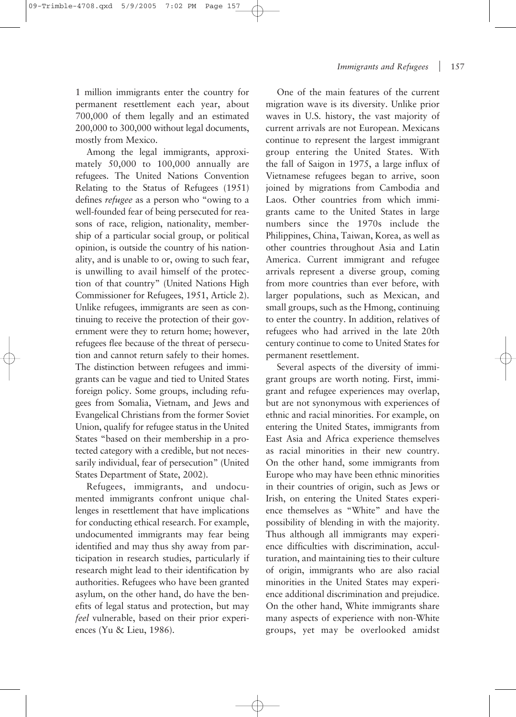09-Trimble-4708.qxd 5/9/2005 7:02 PM Page 157

1 million immigrants enter the country for permanent resettlement each year, about 700,000 of them legally and an estimated 200,000 to 300,000 without legal documents, mostly from Mexico.

Among the legal immigrants, approximately 50,000 to 100,000 annually are refugees. The United Nations Convention Relating to the Status of Refugees (1951) defines *refugee* as a person who "owing to a well-founded fear of being persecuted for reasons of race, religion, nationality, membership of a particular social group, or political opinion, is outside the country of his nationality, and is unable to or, owing to such fear, is unwilling to avail himself of the protection of that country" (United Nations High Commissioner for Refugees, 1951, Article 2). Unlike refugees, immigrants are seen as continuing to receive the protection of their government were they to return home; however, refugees flee because of the threat of persecution and cannot return safely to their homes. The distinction between refugees and immigrants can be vague and tied to United States foreign policy. Some groups, including refugees from Somalia, Vietnam, and Jews and Evangelical Christians from the former Soviet Union, qualify for refugee status in the United States "based on their membership in a protected category with a credible, but not necessarily individual, fear of persecution" (United States Department of State, 2002).

Refugees, immigrants, and undocumented immigrants confront unique challenges in resettlement that have implications for conducting ethical research. For example, undocumented immigrants may fear being identified and may thus shy away from participation in research studies, particularly if research might lead to their identification by authorities. Refugees who have been granted asylum, on the other hand, do have the benefits of legal status and protection, but may *feel* vulnerable, based on their prior experiences (Yu & Lieu, 1986).

One of the main features of the current migration wave is its diversity. Unlike prior waves in U.S. history, the vast majority of current arrivals are not European. Mexicans continue to represent the largest immigrant group entering the United States. With the fall of Saigon in 1975, a large influx of Vietnamese refugees began to arrive, soon joined by migrations from Cambodia and Laos. Other countries from which immigrants came to the United States in large numbers since the 1970s include the Philippines, China, Taiwan, Korea, as well as other countries throughout Asia and Latin America. Current immigrant and refugee arrivals represent a diverse group, coming from more countries than ever before, with larger populations, such as Mexican, and small groups, such as the Hmong, continuing to enter the country. In addition, relatives of refugees who had arrived in the late 20th century continue to come to United States for permanent resettlement.

Several aspects of the diversity of immigrant groups are worth noting. First, immigrant and refugee experiences may overlap, but are not synonymous with experiences of ethnic and racial minorities. For example, on entering the United States, immigrants from East Asia and Africa experience themselves as racial minorities in their new country. On the other hand, some immigrants from Europe who may have been ethnic minorities in their countries of origin, such as Jews or Irish, on entering the United States experience themselves as "White" and have the possibility of blending in with the majority. Thus although all immigrants may experience difficulties with discrimination, acculturation, and maintaining ties to their culture of origin, immigrants who are also racial minorities in the United States may experience additional discrimination and prejudice. On the other hand, White immigrants share many aspects of experience with non-White groups, yet may be overlooked amidst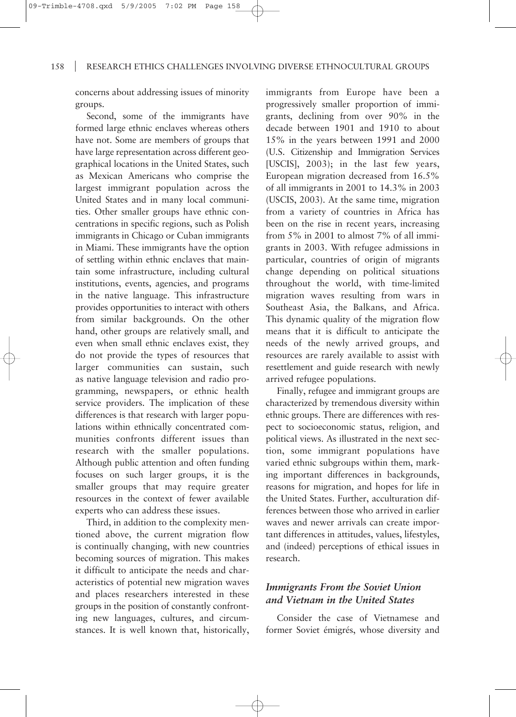concerns about addressing issues of minority groups.

Second, some of the immigrants have formed large ethnic enclaves whereas others have not. Some are members of groups that have large representation across different geographical locations in the United States, such as Mexican Americans who comprise the largest immigrant population across the United States and in many local communities. Other smaller groups have ethnic concentrations in specific regions, such as Polish immigrants in Chicago or Cuban immigrants in Miami. These immigrants have the option of settling within ethnic enclaves that maintain some infrastructure, including cultural institutions, events, agencies, and programs in the native language. This infrastructure provides opportunities to interact with others from similar backgrounds. On the other hand, other groups are relatively small, and even when small ethnic enclaves exist, they do not provide the types of resources that larger communities can sustain, such as native language television and radio programming, newspapers, or ethnic health service providers. The implication of these differences is that research with larger populations within ethnically concentrated communities confronts different issues than research with the smaller populations. Although public attention and often funding focuses on such larger groups, it is the smaller groups that may require greater resources in the context of fewer available experts who can address these issues.

Third, in addition to the complexity mentioned above, the current migration flow is continually changing, with new countries becoming sources of migration. This makes it difficult to anticipate the needs and characteristics of potential new migration waves and places researchers interested in these groups in the position of constantly confronting new languages, cultures, and circumstances. It is well known that, historically, immigrants from Europe have been a progressively smaller proportion of immigrants, declining from over 90% in the decade between 1901 and 1910 to about 15% in the years between 1991 and 2000 (U.S. Citizenship and Immigration Services [USCIS], 2003); in the last few years, European migration decreased from 16.5% of all immigrants in 2001 to 14.3% in 2003 (USCIS, 2003). At the same time, migration from a variety of countries in Africa has been on the rise in recent years, increasing from 5% in 2001 to almost 7% of all immigrants in 2003. With refugee admissions in particular, countries of origin of migrants change depending on political situations throughout the world, with time-limited migration waves resulting from wars in Southeast Asia, the Balkans, and Africa. This dynamic quality of the migration flow means that it is difficult to anticipate the needs of the newly arrived groups, and resources are rarely available to assist with resettlement and guide research with newly arrived refugee populations.

Finally, refugee and immigrant groups are characterized by tremendous diversity within ethnic groups. There are differences with respect to socioeconomic status, religion, and political views. As illustrated in the next section, some immigrant populations have varied ethnic subgroups within them, marking important differences in backgrounds, reasons for migration, and hopes for life in the United States. Further, acculturation differences between those who arrived in earlier waves and newer arrivals can create important differences in attitudes, values, lifestyles, and (indeed) perceptions of ethical issues in research.

# *Immigrants From the Soviet Union and Vietnam in the United States*

Consider the case of Vietnamese and former Soviet émigrés, whose diversity and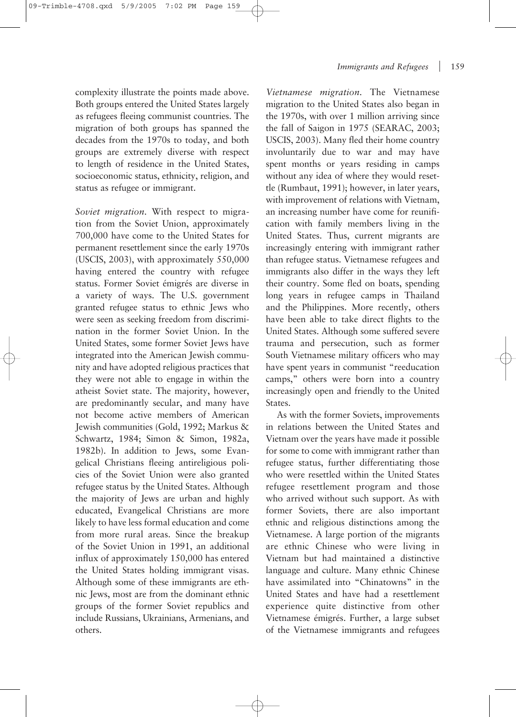complexity illustrate the points made above. Both groups entered the United States largely as refugees fleeing communist countries. The migration of both groups has spanned the decades from the 1970s to today, and both groups are extremely diverse with respect to length of residence in the United States, socioeconomic status, ethnicity, religion, and status as refugee or immigrant.

*Soviet migration.* With respect to migration from the Soviet Union, approximately 700,000 have come to the United States for permanent resettlement since the early 1970s (USCIS, 2003), with approximately 550,000 having entered the country with refugee status. Former Soviet émigrés are diverse in a variety of ways. The U.S. government granted refugee status to ethnic Jews who were seen as seeking freedom from discrimination in the former Soviet Union. In the United States, some former Soviet Jews have integrated into the American Jewish community and have adopted religious practices that they were not able to engage in within the atheist Soviet state. The majority, however, are predominantly secular, and many have not become active members of American Jewish communities (Gold, 1992; Markus & Schwartz, 1984; Simon & Simon, 1982a, 1982b). In addition to Jews, some Evangelical Christians fleeing antireligious policies of the Soviet Union were also granted refugee status by the United States. Although the majority of Jews are urban and highly educated, Evangelical Christians are more likely to have less formal education and come from more rural areas. Since the breakup of the Soviet Union in 1991, an additional influx of approximately 150,000 has entered the United States holding immigrant visas. Although some of these immigrants are ethnic Jews, most are from the dominant ethnic groups of the former Soviet republics and include Russians, Ukrainians, Armenians, and others.

*Vietnamese migration.* The Vietnamese migration to the United States also began in the 1970s, with over 1 million arriving since the fall of Saigon in 1975 (SEARAC, 2003; USCIS, 2003). Many fled their home country involuntarily due to war and may have spent months or years residing in camps without any idea of where they would resettle (Rumbaut, 1991); however, in later years, with improvement of relations with Vietnam, an increasing number have come for reunification with family members living in the United States. Thus, current migrants are increasingly entering with immigrant rather than refugee status. Vietnamese refugees and immigrants also differ in the ways they left their country. Some fled on boats, spending long years in refugee camps in Thailand and the Philippines. More recently, others have been able to take direct flights to the United States. Although some suffered severe trauma and persecution, such as former South Vietnamese military officers who may have spent years in communist "reeducation camps," others were born into a country increasingly open and friendly to the United States.

As with the former Soviets, improvements in relations between the United States and Vietnam over the years have made it possible for some to come with immigrant rather than refugee status, further differentiating those who were resettled within the United States refugee resettlement program and those who arrived without such support. As with former Soviets, there are also important ethnic and religious distinctions among the Vietnamese. A large portion of the migrants are ethnic Chinese who were living in Vietnam but had maintained a distinctive language and culture. Many ethnic Chinese have assimilated into "Chinatowns" in the United States and have had a resettlement experience quite distinctive from other Vietnamese émigrés. Further, a large subset of the Vietnamese immigrants and refugees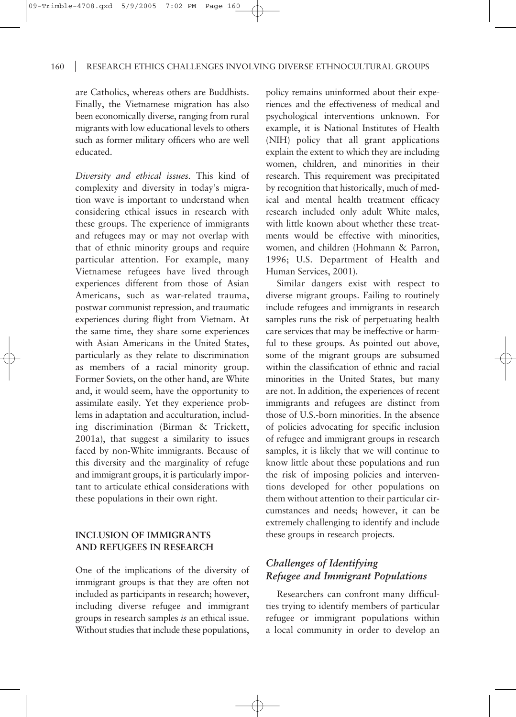are Catholics, whereas others are Buddhists. Finally, the Vietnamese migration has also been economically diverse, ranging from rural migrants with low educational levels to others such as former military officers who are well educated.

*Diversity and ethical issues.* This kind of complexity and diversity in today's migration wave is important to understand when considering ethical issues in research with these groups. The experience of immigrants and refugees may or may not overlap with that of ethnic minority groups and require particular attention. For example, many Vietnamese refugees have lived through experiences different from those of Asian Americans, such as war-related trauma, postwar communist repression, and traumatic experiences during flight from Vietnam. At the same time, they share some experiences with Asian Americans in the United States, particularly as they relate to discrimination as members of a racial minority group. Former Soviets, on the other hand, are White and, it would seem, have the opportunity to assimilate easily. Yet they experience problems in adaptation and acculturation, including discrimination (Birman & Trickett, 2001a), that suggest a similarity to issues faced by non-White immigrants. Because of this diversity and the marginality of refuge and immigrant groups, it is particularly important to articulate ethical considerations with these populations in their own right.

## **INCLUSION OF IMMIGRANTS AND REFUGEES IN RESEARCH**

One of the implications of the diversity of immigrant groups is that they are often not included as participants in research; however, including diverse refugee and immigrant groups in research samples *is* an ethical issue. Without studies that include these populations, policy remains uninformed about their experiences and the effectiveness of medical and psychological interventions unknown. For example, it is National Institutes of Health (NIH) policy that all grant applications explain the extent to which they are including women, children, and minorities in their research. This requirement was precipitated by recognition that historically, much of medical and mental health treatment efficacy research included only adult White males, with little known about whether these treatments would be effective with minorities, women, and children (Hohmann & Parron, 1996; U.S. Department of Health and Human Services, 2001).

Similar dangers exist with respect to diverse migrant groups. Failing to routinely include refugees and immigrants in research samples runs the risk of perpetuating health care services that may be ineffective or harmful to these groups. As pointed out above, some of the migrant groups are subsumed within the classification of ethnic and racial minorities in the United States, but many are not. In addition, the experiences of recent immigrants and refugees are distinct from those of U.S.-born minorities. In the absence of policies advocating for specific inclusion of refugee and immigrant groups in research samples, it is likely that we will continue to know little about these populations and run the risk of imposing policies and interventions developed for other populations on them without attention to their particular circumstances and needs; however, it can be extremely challenging to identify and include these groups in research projects.

# *Challenges of Identifying Refugee and Immigrant Populations*

Researchers can confront many difficulties trying to identify members of particular refugee or immigrant populations within a local community in order to develop an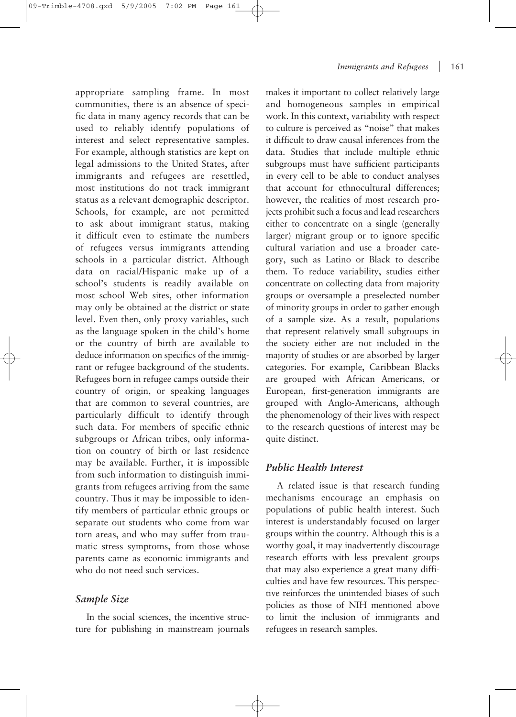appropriate sampling frame. In most communities, there is an absence of specific data in many agency records that can be used to reliably identify populations of interest and select representative samples. For example, although statistics are kept on legal admissions to the United States, after immigrants and refugees are resettled, most institutions do not track immigrant status as a relevant demographic descriptor. Schools, for example, are not permitted to ask about immigrant status, making it difficult even to estimate the numbers of refugees versus immigrants attending schools in a particular district. Although data on racial/Hispanic make up of a school's students is readily available on most school Web sites, other information may only be obtained at the district or state level. Even then, only proxy variables, such as the language spoken in the child's home or the country of birth are available to deduce information on specifics of the immigrant or refugee background of the students. Refugees born in refugee camps outside their country of origin, or speaking languages that are common to several countries, are particularly difficult to identify through such data. For members of specific ethnic subgroups or African tribes, only information on country of birth or last residence may be available. Further, it is impossible from such information to distinguish immigrants from refugees arriving from the same country. Thus it may be impossible to identify members of particular ethnic groups or separate out students who come from war torn areas, and who may suffer from traumatic stress symptoms, from those whose parents came as economic immigrants and who do not need such services.

# *Sample Size*

In the social sciences, the incentive structure for publishing in mainstream journals makes it important to collect relatively large and homogeneous samples in empirical work. In this context, variability with respect to culture is perceived as "noise" that makes it difficult to draw causal inferences from the data. Studies that include multiple ethnic subgroups must have sufficient participants in every cell to be able to conduct analyses that account for ethnocultural differences; however, the realities of most research projects prohibit such a focus and lead researchers either to concentrate on a single (generally larger) migrant group or to ignore specific cultural variation and use a broader category, such as Latino or Black to describe them. To reduce variability, studies either concentrate on collecting data from majority groups or oversample a preselected number of minority groups in order to gather enough of a sample size. As a result, populations that represent relatively small subgroups in the society either are not included in the majority of studies or are absorbed by larger categories. For example, Caribbean Blacks are grouped with African Americans, or European, first-generation immigrants are grouped with Anglo-Americans, although the phenomenology of their lives with respect to the research questions of interest may be quite distinct.

# *Public Health Interest*

A related issue is that research funding mechanisms encourage an emphasis on populations of public health interest. Such interest is understandably focused on larger groups within the country. Although this is a worthy goal, it may inadvertently discourage research efforts with less prevalent groups that may also experience a great many difficulties and have few resources. This perspective reinforces the unintended biases of such policies as those of NIH mentioned above to limit the inclusion of immigrants and refugees in research samples.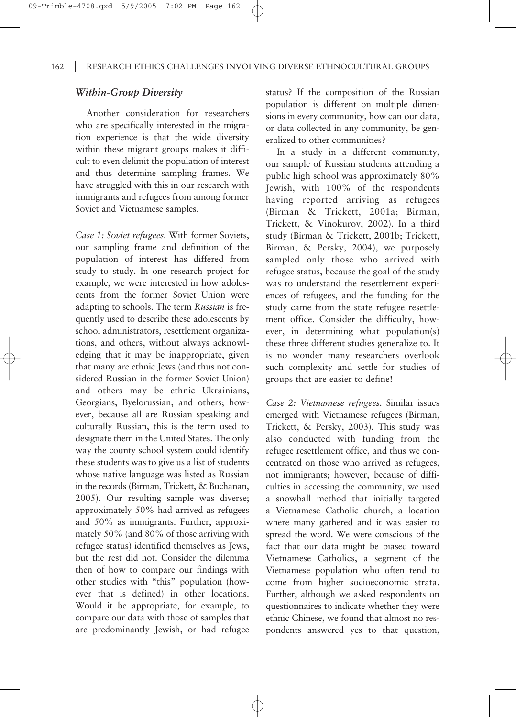#### *Within-Group Diversity*

Another consideration for researchers who are specifically interested in the migration experience is that the wide diversity within these migrant groups makes it difficult to even delimit the population of interest and thus determine sampling frames. We have struggled with this in our research with immigrants and refugees from among former Soviet and Vietnamese samples.

*Case 1: Soviet refugees.* With former Soviets, our sampling frame and definition of the population of interest has differed from study to study. In one research project for example, we were interested in how adolescents from the former Soviet Union were adapting to schools. The term *Russian* is frequently used to describe these adolescents by school administrators, resettlement organizations, and others, without always acknowledging that it may be inappropriate, given that many are ethnic Jews (and thus not considered Russian in the former Soviet Union) and others may be ethnic Ukrainians, Georgians, Byelorussian, and others; however, because all are Russian speaking and culturally Russian, this is the term used to designate them in the United States. The only way the county school system could identify these students was to give us a list of students whose native language was listed as Russian in the records (Birman, Trickett, & Buchanan, 2005). Our resulting sample was diverse; approximately 50% had arrived as refugees and 50% as immigrants. Further, approximately 50% (and 80% of those arriving with refugee status) identified themselves as Jews, but the rest did not. Consider the dilemma then of how to compare our findings with other studies with "this" population (however that is defined) in other locations. Would it be appropriate, for example, to compare our data with those of samples that are predominantly Jewish, or had refugee status? If the composition of the Russian population is different on multiple dimensions in every community, how can our data, or data collected in any community, be generalized to other communities?

In a study in a different community, our sample of Russian students attending a public high school was approximately 80% Jewish, with 100% of the respondents having reported arriving as refugees (Birman & Trickett, 2001a; Birman, Trickett, & Vinokurov, 2002). In a third study (Birman & Trickett, 2001b; Trickett, Birman, & Persky, 2004), we purposely sampled only those who arrived with refugee status, because the goal of the study was to understand the resettlement experiences of refugees, and the funding for the study came from the state refugee resettlement office. Consider the difficulty, however, in determining what population(s) these three different studies generalize to. It is no wonder many researchers overlook such complexity and settle for studies of groups that are easier to define!

*Case 2: Vietnamese refugees.* Similar issues emerged with Vietnamese refugees (Birman, Trickett, & Persky, 2003). This study was also conducted with funding from the refugee resettlement office, and thus we concentrated on those who arrived as refugees, not immigrants; however, because of difficulties in accessing the community, we used a snowball method that initially targeted a Vietnamese Catholic church, a location where many gathered and it was easier to spread the word. We were conscious of the fact that our data might be biased toward Vietnamese Catholics, a segment of the Vietnamese population who often tend to come from higher socioeconomic strata. Further, although we asked respondents on questionnaires to indicate whether they were ethnic Chinese, we found that almost no respondents answered yes to that question,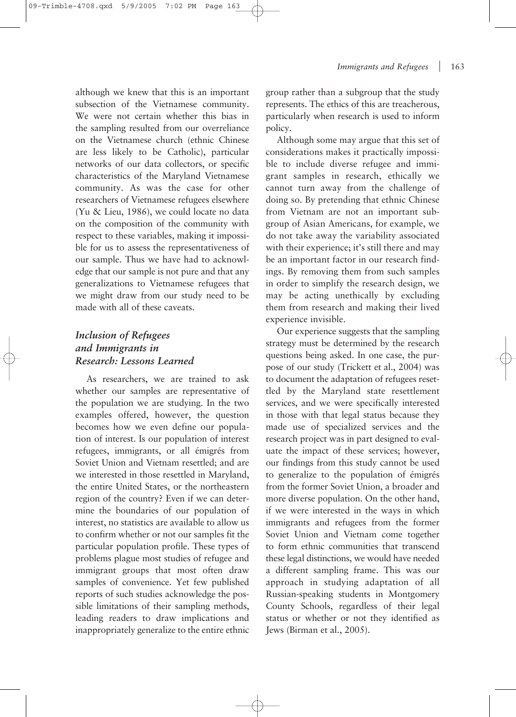although we knew that this is an important subsection of the Vietnamese community. We were not certain whether this bias in the sampling resulted from our overreliance on the Vietnamese church (ethnic Chinese are less likely to be Catholic), particular networks of our data collectors, or specific characteristics of the Maryland Vietnamese community. As was the case for other researchers of Vietnamese refugees elsewhere (Yu & Lieu, 1986), we could locate no data on the composition of the community with respect to these variables, making it impossible for us to assess the representativeness of our sample. Thus we have had to acknowledge that our sample is not pure and that any generalizations to Vietnamese refugees that we might draw from our study need to be made with all of these caveats.

# *Inclusion of Refugees and Immigrants in Research: Lessons Learned*

As researchers, we are trained to ask whether our samples are representative of the population we are studying. In the two examples offered, however, the question becomes how we even define our population of interest. Is our population of interest refugees, immigrants, or all émigrés from Soviet Union and Vietnam resettled; and are we interested in those resettled in Maryland, the entire United States, or the northeastern region of the country? Even if we can determine the boundaries of our population of interest, no statistics are available to allow us to confirm whether or not our samples fit the particular population profile. These types of problems plague most studies of refugee and immigrant groups that most often draw samples of convenience. Yet few published reports of such studies acknowledge the possible limitations of their sampling methods, leading readers to draw implications and inappropriately generalize to the entire ethnic

group rather than a subgroup that the study represents. The ethics of this are treacherous, particularly when research is used to inform policy.

Although some may argue that this set of considerations makes it practically impossible to include diverse refugee and immigrant samples in research, ethically we cannot turn away from the challenge of doing so. By pretending that ethnic Chinese from Vietnam are not an important subgroup of Asian Americans, for example, we do not take away the variability associated with their experience; it's still there and may be an important factor in our research findings. By removing them from such samples in order to simplify the research design, we may be acting unethically by excluding them from research and making their lived experience invisible.

Our experience suggests that the sampling strategy must be determined by the research questions being asked. In one case, the purpose of our study (Trickett et al., 2004) was to document the adaptation of refugees resettled by the Maryland state resettlement services, and we were specifically interested in those with that legal status because they made use of specialized services and the research project was in part designed to evaluate the impact of these services; however, our findings from this study cannot be used to generalize to the population of émigrés from the former Soviet Union, a broader and more diverse population. On the other hand, if we were interested in the ways in which immigrants and refugees from the former Soviet Union and Vietnam come together to form ethnic communities that transcend these legal distinctions, we would have needed a different sampling frame. This was our approach in studying adaptation of all Russian-speaking students in Montgomery County Schools, regardless of their legal status or whether or not they identified as Jews (Birman et al., 2005).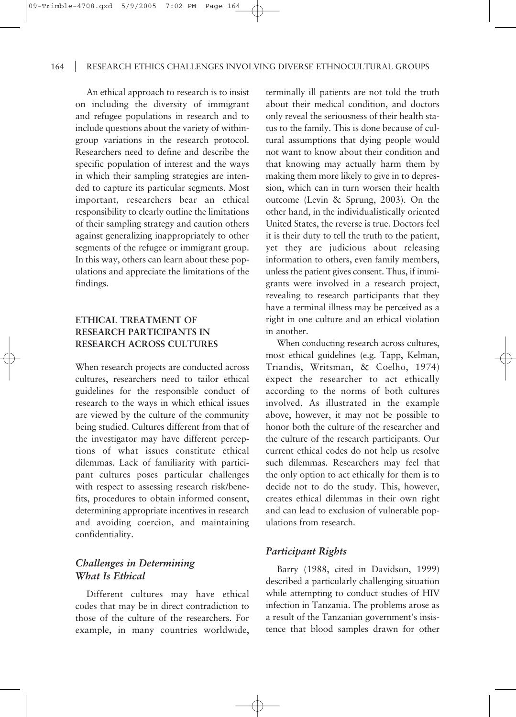An ethical approach to research is to insist on including the diversity of immigrant and refugee populations in research and to include questions about the variety of withingroup variations in the research protocol. Researchers need to define and describe the specific population of interest and the ways in which their sampling strategies are intended to capture its particular segments. Most important, researchers bear an ethical responsibility to clearly outline the limitations of their sampling strategy and caution others against generalizing inappropriately to other segments of the refugee or immigrant group. In this way, others can learn about these populations and appreciate the limitations of the findings.

# **ETHICAL TREATMENT OF RESEARCH PARTICIPANTS IN RESEARCH ACROSS CULTURES**

When research projects are conducted across cultures, researchers need to tailor ethical guidelines for the responsible conduct of research to the ways in which ethical issues are viewed by the culture of the community being studied. Cultures different from that of the investigator may have different perceptions of what issues constitute ethical dilemmas. Lack of familiarity with participant cultures poses particular challenges with respect to assessing research risk/benefits, procedures to obtain informed consent, determining appropriate incentives in research and avoiding coercion, and maintaining confidentiality.

# *Challenges in Determining What Is Ethical*

Different cultures may have ethical codes that may be in direct contradiction to those of the culture of the researchers. For example, in many countries worldwide, terminally ill patients are not told the truth about their medical condition, and doctors only reveal the seriousness of their health status to the family. This is done because of cultural assumptions that dying people would not want to know about their condition and that knowing may actually harm them by making them more likely to give in to depression, which can in turn worsen their health outcome (Levin & Sprung, 2003). On the other hand, in the individualistically oriented United States, the reverse is true. Doctors feel it is their duty to tell the truth to the patient, yet they are judicious about releasing information to others, even family members, unless the patient gives consent. Thus, if immigrants were involved in a research project, revealing to research participants that they have a terminal illness may be perceived as a right in one culture and an ethical violation in another.

When conducting research across cultures, most ethical guidelines (e.g. Tapp, Kelman, Triandis, Writsman, & Coelho, 1974) expect the researcher to act ethically according to the norms of both cultures involved. As illustrated in the example above, however, it may not be possible to honor both the culture of the researcher and the culture of the research participants. Our current ethical codes do not help us resolve such dilemmas. Researchers may feel that the only option to act ethically for them is to decide not to do the study. This, however, creates ethical dilemmas in their own right and can lead to exclusion of vulnerable populations from research.

## *Participant Rights*

Barry (1988, cited in Davidson, 1999) described a particularly challenging situation while attempting to conduct studies of HIV infection in Tanzania. The problems arose as a result of the Tanzanian government's insistence that blood samples drawn for other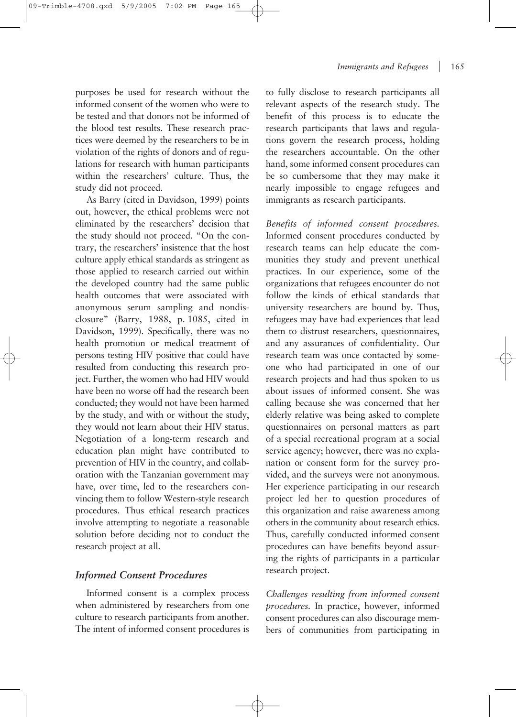09-Trimble-4708.qxd 5/9/2005 7:02 PM Page 165

purposes be used for research without the informed consent of the women who were to be tested and that donors not be informed of the blood test results. These research practices were deemed by the researchers to be in violation of the rights of donors and of regulations for research with human participants within the researchers' culture. Thus, the study did not proceed.

As Barry (cited in Davidson, 1999) points out, however, the ethical problems were not eliminated by the researchers' decision that the study should not proceed. "On the contrary, the researchers' insistence that the host culture apply ethical standards as stringent as those applied to research carried out within the developed country had the same public health outcomes that were associated with anonymous serum sampling and nondisclosure" (Barry, 1988, p. 1085, cited in Davidson, 1999). Specifically, there was no health promotion or medical treatment of persons testing HIV positive that could have resulted from conducting this research project. Further, the women who had HIV would have been no worse off had the research been conducted; they would not have been harmed by the study, and with or without the study, they would not learn about their HIV status. Negotiation of a long-term research and education plan might have contributed to prevention of HIV in the country, and collaboration with the Tanzanian government may have, over time, led to the researchers convincing them to follow Western-style research procedures. Thus ethical research practices involve attempting to negotiate a reasonable solution before deciding not to conduct the research project at all.

### *Informed Consent Procedures*

Informed consent is a complex process when administered by researchers from one culture to research participants from another. The intent of informed consent procedures is to fully disclose to research participants all relevant aspects of the research study. The benefit of this process is to educate the research participants that laws and regulations govern the research process, holding the researchers accountable. On the other hand, some informed consent procedures can be so cumbersome that they may make it nearly impossible to engage refugees and immigrants as research participants.

*Benefits of informed consent procedures.* Informed consent procedures conducted by research teams can help educate the communities they study and prevent unethical practices. In our experience, some of the organizations that refugees encounter do not follow the kinds of ethical standards that university researchers are bound by. Thus, refugees may have had experiences that lead them to distrust researchers, questionnaires, and any assurances of confidentiality. Our research team was once contacted by someone who had participated in one of our research projects and had thus spoken to us about issues of informed consent. She was calling because she was concerned that her elderly relative was being asked to complete questionnaires on personal matters as part of a special recreational program at a social service agency; however, there was no explanation or consent form for the survey provided, and the surveys were not anonymous. Her experience participating in our research project led her to question procedures of this organization and raise awareness among others in the community about research ethics. Thus, carefully conducted informed consent procedures can have benefits beyond assuring the rights of participants in a particular research project.

*Challenges resulting from informed consent procedures.* In practice, however, informed consent procedures can also discourage members of communities from participating in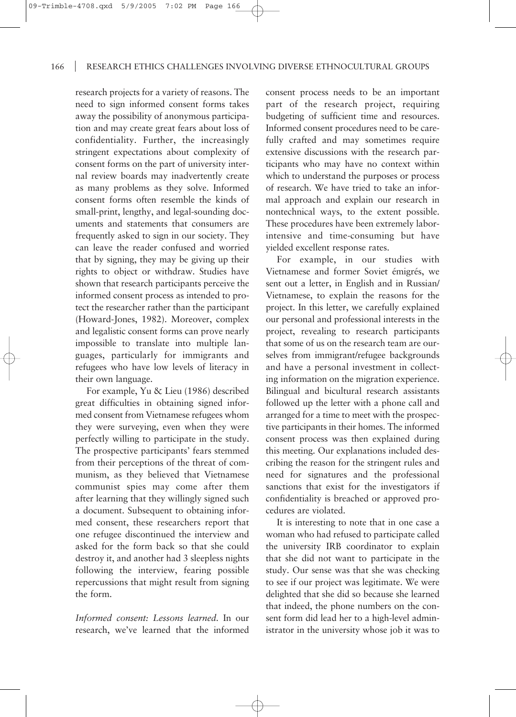research projects for a variety of reasons. The need to sign informed consent forms takes away the possibility of anonymous participation and may create great fears about loss of confidentiality. Further, the increasingly stringent expectations about complexity of consent forms on the part of university internal review boards may inadvertently create as many problems as they solve. Informed consent forms often resemble the kinds of small-print, lengthy, and legal-sounding documents and statements that consumers are frequently asked to sign in our society. They can leave the reader confused and worried that by signing, they may be giving up their rights to object or withdraw. Studies have shown that research participants perceive the informed consent process as intended to protect the researcher rather than the participant (Howard-Jones, 1982). Moreover, complex and legalistic consent forms can prove nearly impossible to translate into multiple languages, particularly for immigrants and refugees who have low levels of literacy in their own language.

For example, Yu & Lieu (1986) described great difficulties in obtaining signed informed consent from Vietnamese refugees whom they were surveying, even when they were perfectly willing to participate in the study. The prospective participants' fears stemmed from their perceptions of the threat of communism, as they believed that Vietnamese communist spies may come after them after learning that they willingly signed such a document. Subsequent to obtaining informed consent, these researchers report that one refugee discontinued the interview and asked for the form back so that she could destroy it, and another had 3 sleepless nights following the interview, fearing possible repercussions that might result from signing the form.

*Informed consent: Lessons learned.* In our research, we've learned that the informed consent process needs to be an important part of the research project, requiring budgeting of sufficient time and resources. Informed consent procedures need to be carefully crafted and may sometimes require extensive discussions with the research participants who may have no context within which to understand the purposes or process of research. We have tried to take an informal approach and explain our research in nontechnical ways, to the extent possible. These procedures have been extremely laborintensive and time-consuming but have yielded excellent response rates.

For example, in our studies with Vietnamese and former Soviet émigrés, we sent out a letter, in English and in Russian/ Vietnamese, to explain the reasons for the project. In this letter, we carefully explained our personal and professional interests in the project, revealing to research participants that some of us on the research team are ourselves from immigrant/refugee backgrounds and have a personal investment in collecting information on the migration experience. Bilingual and bicultural research assistants followed up the letter with a phone call and arranged for a time to meet with the prospective participants in their homes. The informed consent process was then explained during this meeting. Our explanations included describing the reason for the stringent rules and need for signatures and the professional sanctions that exist for the investigators if confidentiality is breached or approved procedures are violated.

It is interesting to note that in one case a woman who had refused to participate called the university IRB coordinator to explain that she did not want to participate in the study. Our sense was that she was checking to see if our project was legitimate. We were delighted that she did so because she learned that indeed, the phone numbers on the consent form did lead her to a high-level administrator in the university whose job it was to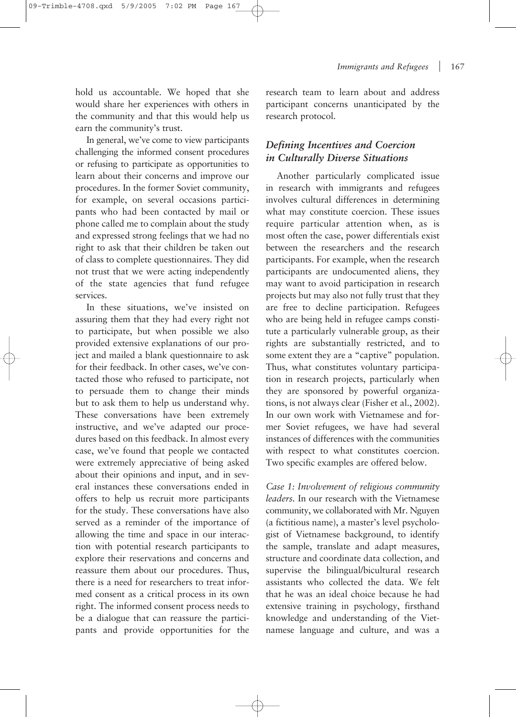09-Trimble-4708.qxd 5/9/2005 7:02 PM Page 167

hold us accountable. We hoped that she would share her experiences with others in the community and that this would help us earn the community's trust.

In general, we've come to view participants challenging the informed consent procedures or refusing to participate as opportunities to learn about their concerns and improve our procedures. In the former Soviet community, for example, on several occasions participants who had been contacted by mail or phone called me to complain about the study and expressed strong feelings that we had no right to ask that their children be taken out of class to complete questionnaires. They did not trust that we were acting independently of the state agencies that fund refugee services.

In these situations, we've insisted on assuring them that they had every right not to participate, but when possible we also provided extensive explanations of our project and mailed a blank questionnaire to ask for their feedback. In other cases, we've contacted those who refused to participate, not to persuade them to change their minds but to ask them to help us understand why. These conversations have been extremely instructive, and we've adapted our procedures based on this feedback. In almost every case, we've found that people we contacted were extremely appreciative of being asked about their opinions and input, and in several instances these conversations ended in offers to help us recruit more participants for the study. These conversations have also served as a reminder of the importance of allowing the time and space in our interaction with potential research participants to explore their reservations and concerns and reassure them about our procedures. Thus, there is a need for researchers to treat informed consent as a critical process in its own right. The informed consent process needs to be a dialogue that can reassure the participants and provide opportunities for the

research team to learn about and address participant concerns unanticipated by the research protocol.

# *Defining Incentives and Coercion in Culturally Diverse Situations*

Another particularly complicated issue in research with immigrants and refugees involves cultural differences in determining what may constitute coercion. These issues require particular attention when, as is most often the case, power differentials exist between the researchers and the research participants. For example, when the research participants are undocumented aliens, they may want to avoid participation in research projects but may also not fully trust that they are free to decline participation. Refugees who are being held in refugee camps constitute a particularly vulnerable group, as their rights are substantially restricted, and to some extent they are a "captive" population. Thus, what constitutes voluntary participation in research projects, particularly when they are sponsored by powerful organizations, is not always clear (Fisher et al., 2002). In our own work with Vietnamese and former Soviet refugees, we have had several instances of differences with the communities with respect to what constitutes coercion. Two specific examples are offered below.

*Case 1: Involvement of religious community leaders.* In our research with the Vietnamese community, we collaborated with Mr. Nguyen (a fictitious name), a master's level psychologist of Vietnamese background, to identify the sample, translate and adapt measures, structure and coordinate data collection, and supervise the bilingual/bicultural research assistants who collected the data. We felt that he was an ideal choice because he had extensive training in psychology, firsthand knowledge and understanding of the Vietnamese language and culture, and was a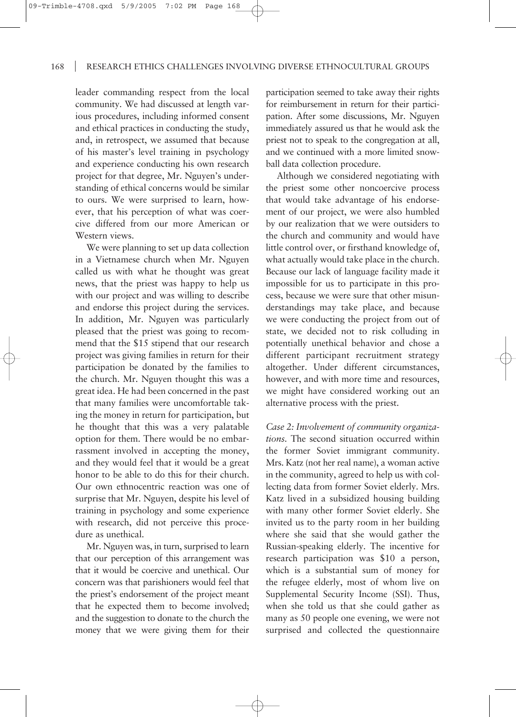leader commanding respect from the local community. We had discussed at length various procedures, including informed consent and ethical practices in conducting the study, and, in retrospect, we assumed that because of his master's level training in psychology and experience conducting his own research project for that degree, Mr. Nguyen's understanding of ethical concerns would be similar to ours. We were surprised to learn, however, that his perception of what was coercive differed from our more American or Western views.

09-Trimble-4708.qxd 5/9/2005 7:02 PM Page 168

We were planning to set up data collection in a Vietnamese church when Mr. Nguyen called us with what he thought was great news, that the priest was happy to help us with our project and was willing to describe and endorse this project during the services. In addition, Mr. Nguyen was particularly pleased that the priest was going to recommend that the \$15 stipend that our research project was giving families in return for their participation be donated by the families to the church. Mr. Nguyen thought this was a great idea. He had been concerned in the past that many families were uncomfortable taking the money in return for participation, but he thought that this was a very palatable option for them. There would be no embarrassment involved in accepting the money, and they would feel that it would be a great honor to be able to do this for their church. Our own ethnocentric reaction was one of surprise that Mr. Nguyen, despite his level of training in psychology and some experience with research, did not perceive this procedure as unethical.

Mr. Nguyen was, in turn, surprised to learn that our perception of this arrangement was that it would be coercive and unethical. Our concern was that parishioners would feel that the priest's endorsement of the project meant that he expected them to become involved; and the suggestion to donate to the church the money that we were giving them for their participation seemed to take away their rights for reimbursement in return for their participation. After some discussions, Mr. Nguyen immediately assured us that he would ask the priest not to speak to the congregation at all, and we continued with a more limited snowball data collection procedure.

Although we considered negotiating with the priest some other noncoercive process that would take advantage of his endorsement of our project, we were also humbled by our realization that we were outsiders to the church and community and would have little control over, or firsthand knowledge of, what actually would take place in the church. Because our lack of language facility made it impossible for us to participate in this process, because we were sure that other misunderstandings may take place, and because we were conducting the project from out of state, we decided not to risk colluding in potentially unethical behavior and chose a different participant recruitment strategy altogether. Under different circumstances, however, and with more time and resources, we might have considered working out an alternative process with the priest.

*Case 2: Involvement of community organizations.* The second situation occurred within the former Soviet immigrant community. Mrs. Katz (not her real name), a woman active in the community, agreed to help us with collecting data from former Soviet elderly. Mrs. Katz lived in a subsidized housing building with many other former Soviet elderly. She invited us to the party room in her building where she said that she would gather the Russian-speaking elderly. The incentive for research participation was \$10 a person, which is a substantial sum of money for the refugee elderly, most of whom live on Supplemental Security Income (SSI). Thus, when she told us that she could gather as many as 50 people one evening, we were not surprised and collected the questionnaire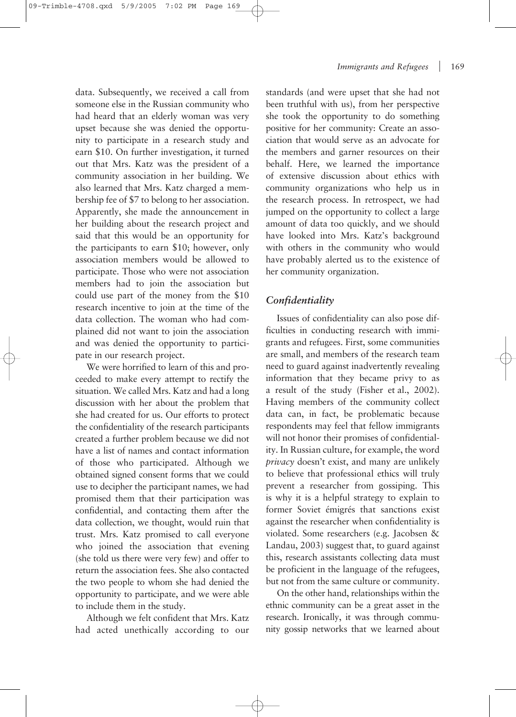data. Subsequently, we received a call from someone else in the Russian community who had heard that an elderly woman was very upset because she was denied the opportunity to participate in a research study and earn \$10. On further investigation, it turned out that Mrs. Katz was the president of a community association in her building. We also learned that Mrs. Katz charged a membership fee of \$7 to belong to her association. Apparently, she made the announcement in her building about the research project and said that this would be an opportunity for the participants to earn \$10; however, only association members would be allowed to participate. Those who were not association members had to join the association but could use part of the money from the \$10 research incentive to join at the time of the data collection. The woman who had complained did not want to join the association and was denied the opportunity to participate in our research project.

We were horrified to learn of this and proceeded to make every attempt to rectify the situation. We called Mrs. Katz and had a long discussion with her about the problem that she had created for us. Our efforts to protect the confidentiality of the research participants created a further problem because we did not have a list of names and contact information of those who participated. Although we obtained signed consent forms that we could use to decipher the participant names, we had promised them that their participation was confidential, and contacting them after the data collection, we thought, would ruin that trust. Mrs. Katz promised to call everyone who joined the association that evening (she told us there were very few) and offer to return the association fees. She also contacted the two people to whom she had denied the opportunity to participate, and we were able to include them in the study.

Although we felt confident that Mrs. Katz had acted unethically according to our standards (and were upset that she had not been truthful with us), from her perspective she took the opportunity to do something positive for her community: Create an association that would serve as an advocate for the members and garner resources on their behalf. Here, we learned the importance of extensive discussion about ethics with community organizations who help us in the research process. In retrospect, we had jumped on the opportunity to collect a large amount of data too quickly, and we should have looked into Mrs. Katz's background with others in the community who would have probably alerted us to the existence of her community organization.

## *Confidentiality*

Issues of confidentiality can also pose difficulties in conducting research with immigrants and refugees. First, some communities are small, and members of the research team need to guard against inadvertently revealing information that they became privy to as a result of the study (Fisher et al., 2002). Having members of the community collect data can, in fact, be problematic because respondents may feel that fellow immigrants will not honor their promises of confidentiality. In Russian culture, for example, the word *privacy* doesn't exist, and many are unlikely to believe that professional ethics will truly prevent a researcher from gossiping. This is why it is a helpful strategy to explain to former Soviet émigrés that sanctions exist against the researcher when confidentiality is violated. Some researchers (e.g. Jacobsen & Landau, 2003) suggest that, to guard against this, research assistants collecting data must be proficient in the language of the refugees, but not from the same culture or community.

On the other hand, relationships within the ethnic community can be a great asset in the research. Ironically, it was through community gossip networks that we learned about

## *Immigrants and Refugees* | 169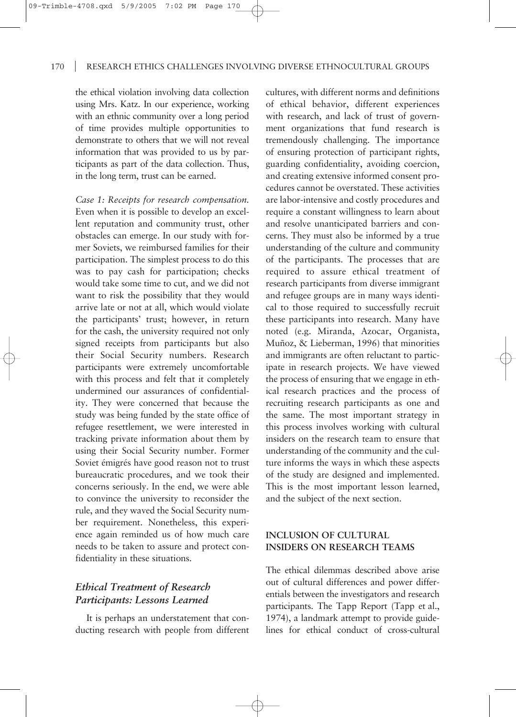the ethical violation involving data collection using Mrs. Katz. In our experience, working with an ethnic community over a long period of time provides multiple opportunities to demonstrate to others that we will not reveal information that was provided to us by participants as part of the data collection. Thus, in the long term, trust can be earned.

*Case 1: Receipts for research compensation.* Even when it is possible to develop an excellent reputation and community trust, other obstacles can emerge. In our study with former Soviets, we reimbursed families for their participation. The simplest process to do this was to pay cash for participation; checks would take some time to cut, and we did not want to risk the possibility that they would arrive late or not at all, which would violate the participants' trust; however, in return for the cash, the university required not only signed receipts from participants but also their Social Security numbers. Research participants were extremely uncomfortable with this process and felt that it completely undermined our assurances of confidentiality. They were concerned that because the study was being funded by the state office of refugee resettlement, we were interested in tracking private information about them by using their Social Security number. Former Soviet émigrés have good reason not to trust bureaucratic procedures, and we took their concerns seriously. In the end, we were able to convince the university to reconsider the rule, and they waved the Social Security number requirement. Nonetheless, this experience again reminded us of how much care needs to be taken to assure and protect confidentiality in these situations.

# *Ethical Treatment of Research Participants: Lessons Learned*

It is perhaps an understatement that conducting research with people from different cultures, with different norms and definitions of ethical behavior, different experiences with research, and lack of trust of government organizations that fund research is tremendously challenging. The importance of ensuring protection of participant rights, guarding confidentiality, avoiding coercion, and creating extensive informed consent procedures cannot be overstated. These activities are labor-intensive and costly procedures and require a constant willingness to learn about and resolve unanticipated barriers and concerns. They must also be informed by a true understanding of the culture and community of the participants. The processes that are required to assure ethical treatment of research participants from diverse immigrant and refugee groups are in many ways identical to those required to successfully recruit these participants into research. Many have noted (e.g. Miranda, Azocar, Organista, Muñoz, & Lieberman, 1996) that minorities and immigrants are often reluctant to participate in research projects. We have viewed the process of ensuring that we engage in ethical research practices and the process of recruiting research participants as one and the same. The most important strategy in this process involves working with cultural insiders on the research team to ensure that understanding of the community and the culture informs the ways in which these aspects of the study are designed and implemented. This is the most important lesson learned, and the subject of the next section.

## **INCLUSION OF CULTURAL INSIDERS ON RESEARCH TEAMS**

The ethical dilemmas described above arise out of cultural differences and power differentials between the investigators and research participants. The Tapp Report (Tapp et al., 1974), a landmark attempt to provide guidelines for ethical conduct of cross-cultural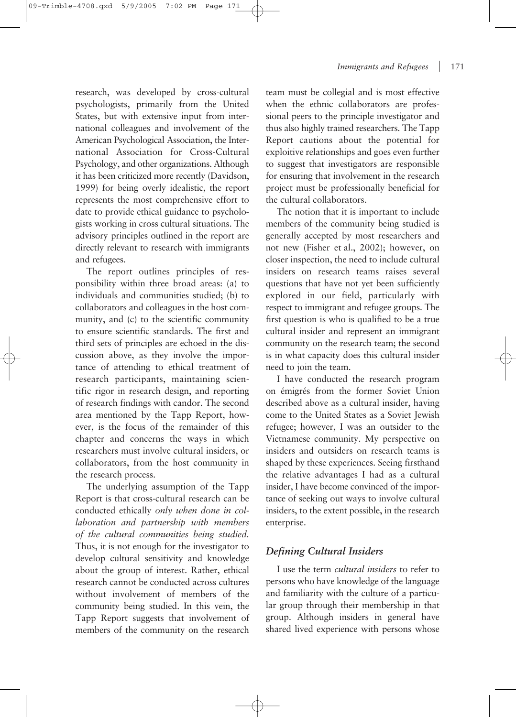09-Trimble-4708.qxd 5/9/2005 7:02 PM Page 171

research, was developed by cross-cultural psychologists, primarily from the United States, but with extensive input from international colleagues and involvement of the American Psychological Association, the International Association for Cross-Cultural Psychology, and other organizations. Although it has been criticized more recently (Davidson, 1999) for being overly idealistic, the report represents the most comprehensive effort to date to provide ethical guidance to psychologists working in cross cultural situations. The advisory principles outlined in the report are directly relevant to research with immigrants and refugees.

The report outlines principles of responsibility within three broad areas: (a) to individuals and communities studied; (b) to collaborators and colleagues in the host community, and (c) to the scientific community to ensure scientific standards. The first and third sets of principles are echoed in the discussion above, as they involve the importance of attending to ethical treatment of research participants, maintaining scientific rigor in research design, and reporting of research findings with candor. The second area mentioned by the Tapp Report, however, is the focus of the remainder of this chapter and concerns the ways in which researchers must involve cultural insiders, or collaborators, from the host community in the research process.

The underlying assumption of the Tapp Report is that cross-cultural research can be conducted ethically *only when done in collaboration and partnership with members of the cultural communities being studied.* Thus, it is not enough for the investigator to develop cultural sensitivity and knowledge about the group of interest. Rather, ethical research cannot be conducted across cultures without involvement of members of the community being studied. In this vein, the Tapp Report suggests that involvement of members of the community on the research

team must be collegial and is most effective when the ethnic collaborators are professional peers to the principle investigator and thus also highly trained researchers. The Tapp Report cautions about the potential for exploitive relationships and goes even further to suggest that investigators are responsible for ensuring that involvement in the research project must be professionally beneficial for the cultural collaborators.

The notion that it is important to include members of the community being studied is generally accepted by most researchers and not new (Fisher et al., 2002); however, on closer inspection, the need to include cultural insiders on research teams raises several questions that have not yet been sufficiently explored in our field, particularly with respect to immigrant and refugee groups. The first question is who is qualified to be a true cultural insider and represent an immigrant community on the research team; the second is in what capacity does this cultural insider need to join the team.

I have conducted the research program on émigrés from the former Soviet Union described above as a cultural insider, having come to the United States as a Soviet Jewish refugee; however, I was an outsider to the Vietnamese community. My perspective on insiders and outsiders on research teams is shaped by these experiences. Seeing firsthand the relative advantages I had as a cultural insider, I have become convinced of the importance of seeking out ways to involve cultural insiders, to the extent possible, in the research enterprise.

## *Defining Cultural Insiders*

I use the term *cultural insiders* to refer to persons who have knowledge of the language and familiarity with the culture of a particular group through their membership in that group. Although insiders in general have shared lived experience with persons whose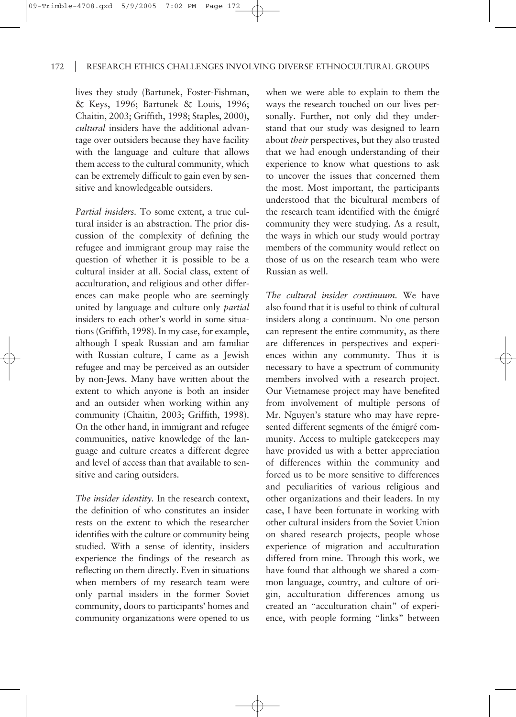lives they study (Bartunek, Foster-Fishman, & Keys, 1996; Bartunek & Louis, 1996; Chaitin, 2003; Griffith, 1998; Staples, 2000), *cultural* insiders have the additional advantage over outsiders because they have facility with the language and culture that allows them access to the cultural community, which can be extremely difficult to gain even by sensitive and knowledgeable outsiders.

*Partial insiders.* To some extent, a true cultural insider is an abstraction. The prior discussion of the complexity of defining the refugee and immigrant group may raise the question of whether it is possible to be a cultural insider at all. Social class, extent of acculturation, and religious and other differences can make people who are seemingly united by language and culture only *partial* insiders to each other's world in some situations (Griffith, 1998). In my case, for example, although I speak Russian and am familiar with Russian culture, I came as a Jewish refugee and may be perceived as an outsider by non-Jews. Many have written about the extent to which anyone is both an insider and an outsider when working within any community (Chaitin, 2003; Griffith, 1998). On the other hand, in immigrant and refugee communities, native knowledge of the language and culture creates a different degree and level of access than that available to sensitive and caring outsiders.

*The insider identity.* In the research context, the definition of who constitutes an insider rests on the extent to which the researcher identifies with the culture or community being studied. With a sense of identity, insiders experience the findings of the research as reflecting on them directly. Even in situations when members of my research team were only partial insiders in the former Soviet community, doors to participants' homes and community organizations were opened to us when we were able to explain to them the ways the research touched on our lives personally. Further, not only did they understand that our study was designed to learn about *their* perspectives, but they also trusted that we had enough understanding of their experience to know what questions to ask to uncover the issues that concerned them the most. Most important, the participants understood that the bicultural members of the research team identified with the émigré community they were studying. As a result, the ways in which our study would portray members of the community would reflect on those of us on the research team who were Russian as well.

*The cultural insider continuum.* We have also found that it is useful to think of cultural insiders along a continuum. No one person can represent the entire community, as there are differences in perspectives and experiences within any community. Thus it is necessary to have a spectrum of community members involved with a research project. Our Vietnamese project may have benefited from involvement of multiple persons of Mr. Nguyen's stature who may have represented different segments of the émigré community. Access to multiple gatekeepers may have provided us with a better appreciation of differences within the community and forced us to be more sensitive to differences and peculiarities of various religious and other organizations and their leaders. In my case, I have been fortunate in working with other cultural insiders from the Soviet Union on shared research projects, people whose experience of migration and acculturation differed from mine. Through this work, we have found that although we shared a common language, country, and culture of origin, acculturation differences among us created an "acculturation chain" of experience, with people forming "links" between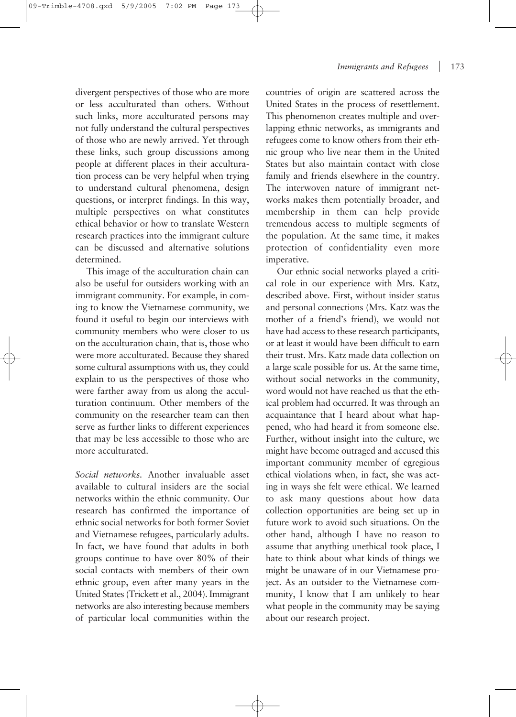divergent perspectives of those who are more or less acculturated than others. Without such links, more acculturated persons may not fully understand the cultural perspectives of those who are newly arrived. Yet through these links, such group discussions among people at different places in their acculturation process can be very helpful when trying to understand cultural phenomena, design questions, or interpret findings. In this way, multiple perspectives on what constitutes ethical behavior or how to translate Western research practices into the immigrant culture can be discussed and alternative solutions determined.

This image of the acculturation chain can also be useful for outsiders working with an immigrant community. For example, in coming to know the Vietnamese community, we found it useful to begin our interviews with community members who were closer to us on the acculturation chain, that is, those who were more acculturated. Because they shared some cultural assumptions with us, they could explain to us the perspectives of those who were farther away from us along the acculturation continuum. Other members of the community on the researcher team can then serve as further links to different experiences that may be less accessible to those who are more acculturated.

*Social networks.* Another invaluable asset available to cultural insiders are the social networks within the ethnic community. Our research has confirmed the importance of ethnic social networks for both former Soviet and Vietnamese refugees, particularly adults. In fact, we have found that adults in both groups continue to have over 80% of their social contacts with members of their own ethnic group, even after many years in the United States (Trickett et al., 2004). Immigrant networks are also interesting because members of particular local communities within the countries of origin are scattered across the United States in the process of resettlement. This phenomenon creates multiple and overlapping ethnic networks, as immigrants and refugees come to know others from their ethnic group who live near them in the United States but also maintain contact with close family and friends elsewhere in the country. The interwoven nature of immigrant networks makes them potentially broader, and membership in them can help provide tremendous access to multiple segments of the population. At the same time, it makes protection of confidentiality even more imperative.

Our ethnic social networks played a critical role in our experience with Mrs. Katz, described above. First, without insider status and personal connections (Mrs. Katz was the mother of a friend's friend), we would not have had access to these research participants, or at least it would have been difficult to earn their trust. Mrs. Katz made data collection on a large scale possible for us. At the same time, without social networks in the community, word would not have reached us that the ethical problem had occurred. It was through an acquaintance that I heard about what happened, who had heard it from someone else. Further, without insight into the culture, we might have become outraged and accused this important community member of egregious ethical violations when, in fact, she was acting in ways she felt were ethical. We learned to ask many questions about how data collection opportunities are being set up in future work to avoid such situations. On the other hand, although I have no reason to assume that anything unethical took place, I hate to think about what kinds of things we might be unaware of in our Vietnamese project. As an outsider to the Vietnamese community, I know that I am unlikely to hear what people in the community may be saying about our research project.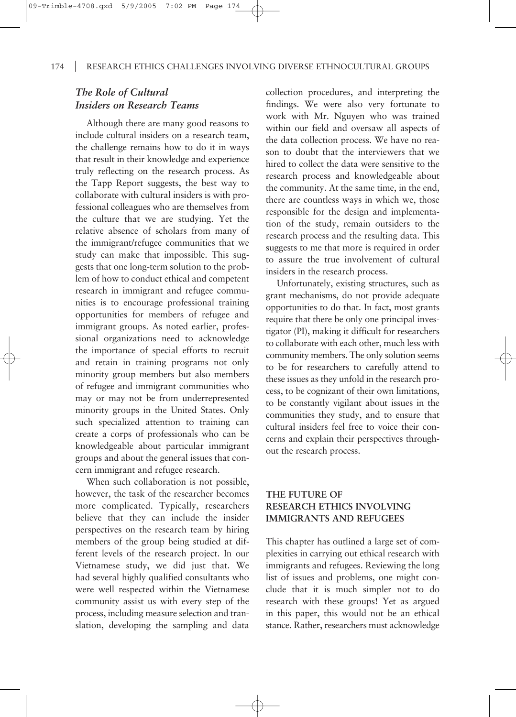# *The Role of Cultural Insiders on Research Teams*

Although there are many good reasons to include cultural insiders on a research team, the challenge remains how to do it in ways that result in their knowledge and experience truly reflecting on the research process. As the Tapp Report suggests, the best way to collaborate with cultural insiders is with professional colleagues who are themselves from the culture that we are studying. Yet the relative absence of scholars from many of the immigrant/refugee communities that we study can make that impossible. This suggests that one long-term solution to the problem of how to conduct ethical and competent research in immigrant and refugee communities is to encourage professional training opportunities for members of refugee and immigrant groups. As noted earlier, professional organizations need to acknowledge the importance of special efforts to recruit and retain in training programs not only minority group members but also members of refugee and immigrant communities who may or may not be from underrepresented minority groups in the United States. Only such specialized attention to training can create a corps of professionals who can be knowledgeable about particular immigrant groups and about the general issues that concern immigrant and refugee research.

When such collaboration is not possible, however, the task of the researcher becomes more complicated. Typically, researchers believe that they can include the insider perspectives on the research team by hiring members of the group being studied at different levels of the research project. In our Vietnamese study, we did just that. We had several highly qualified consultants who were well respected within the Vietnamese community assist us with every step of the process, including measure selection and translation, developing the sampling and data collection procedures, and interpreting the findings. We were also very fortunate to work with Mr. Nguyen who was trained within our field and oversaw all aspects of the data collection process. We have no reason to doubt that the interviewers that we hired to collect the data were sensitive to the research process and knowledgeable about the community. At the same time, in the end, there are countless ways in which we, those responsible for the design and implementation of the study, remain outsiders to the research process and the resulting data. This suggests to me that more is required in order to assure the true involvement of cultural insiders in the research process.

Unfortunately, existing structures, such as grant mechanisms, do not provide adequate opportunities to do that. In fact, most grants require that there be only one principal investigator (PI), making it difficult for researchers to collaborate with each other, much less with community members. The only solution seems to be for researchers to carefully attend to these issues as they unfold in the research process, to be cognizant of their own limitations, to be constantly vigilant about issues in the communities they study, and to ensure that cultural insiders feel free to voice their concerns and explain their perspectives throughout the research process.

## **THE FUTURE OF RESEARCH ETHICS INVOLVING IMMIGRANTS AND REFUGEES**

This chapter has outlined a large set of complexities in carrying out ethical research with immigrants and refugees. Reviewing the long list of issues and problems, one might conclude that it is much simpler not to do research with these groups! Yet as argued in this paper, this would not be an ethical stance. Rather, researchers must acknowledge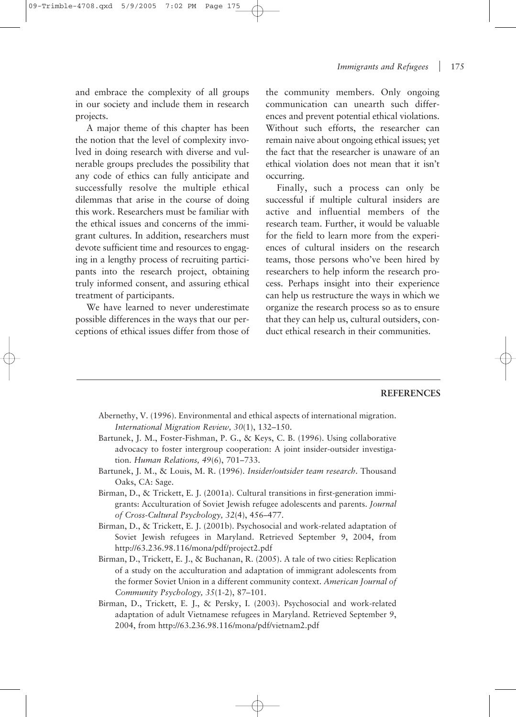#### *Immigrants and Refugees* | 175

and embrace the complexity of all groups in our society and include them in research projects.

A major theme of this chapter has been the notion that the level of complexity involved in doing research with diverse and vulnerable groups precludes the possibility that any code of ethics can fully anticipate and successfully resolve the multiple ethical dilemmas that arise in the course of doing this work. Researchers must be familiar with the ethical issues and concerns of the immigrant cultures. In addition, researchers must devote sufficient time and resources to engaging in a lengthy process of recruiting participants into the research project, obtaining truly informed consent, and assuring ethical treatment of participants.

We have learned to never underestimate possible differences in the ways that our perceptions of ethical issues differ from those of the community members. Only ongoing communication can unearth such differences and prevent potential ethical violations. Without such efforts, the researcher can remain naive about ongoing ethical issues; yet the fact that the researcher is unaware of an ethical violation does not mean that it isn't occurring.

Finally, such a process can only be successful if multiple cultural insiders are active and influential members of the research team. Further, it would be valuable for the field to learn more from the experiences of cultural insiders on the research teams, those persons who've been hired by researchers to help inform the research process. Perhaps insight into their experience can help us restructure the ways in which we organize the research process so as to ensure that they can help us, cultural outsiders, conduct ethical research in their communities.

#### **REFERENCES**

- Abernethy, V. (1996). Environmental and ethical aspects of international migration. *International Migration Review, 30*(1), 132–150.
- Bartunek, J. M., Foster-Fishman, P. G., & Keys, C. B. (1996). Using collaborative advocacy to foster intergroup cooperation: A joint insider-outsider investigation. *Human Relations, 49*(6), 701–733.
- Bartunek, J. M., & Louis, M. R. (1996). *Insider/outsider team research.* Thousand Oaks, CA: Sage.
- Birman, D., & Trickett, E. J. (2001a). Cultural transitions in first-generation immigrants: Acculturation of Soviet Jewish refugee adolescents and parents. *Journal of Cross-Cultural Psychology, 32*(4), 456–477.
- Birman, D., & Trickett, E. J. (2001b). Psychosocial and work-related adaptation of Soviet Jewish refugees in Maryland. Retrieved September 9, 2004, from http://63.236.98.116/mona/pdf/project2.pdf
- Birman, D., Trickett, E. J., & Buchanan, R. (2005). A tale of two cities: Replication of a study on the acculturation and adaptation of immigrant adolescents from the former Soviet Union in a different community context. *American Journal of Community Psychology, 35*(1-2), 87–101.
- Birman, D., Trickett, E. J., & Persky, I. (2003). Psychosocial and work-related adaptation of adult Vietnamese refugees in Maryland. Retrieved September 9, 2004, from http://63.236.98.116/mona/pdf/vietnam2.pdf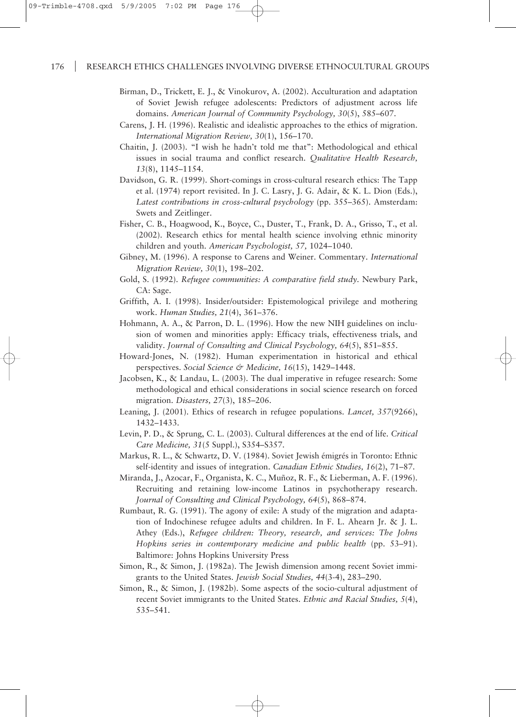- Birman, D., Trickett, E. J., & Vinokurov, A. (2002). Acculturation and adaptation of Soviet Jewish refugee adolescents: Predictors of adjustment across life domains. *American Journal of Community Psychology, 30*(5), 585–607.
- Carens, J. H. (1996). Realistic and idealistic approaches to the ethics of migration. *International Migration Review, 30*(1), 156–170.
- Chaitin, J. (2003). "I wish he hadn't told me that": Methodological and ethical issues in social trauma and conflict research. *Qualitative Health Research, 13*(8), 1145–1154.
- Davidson, G. R. (1999). Short-comings in cross-cultural research ethics: The Tapp et al. (1974) report revisited. In J. C. Lasry, J. G. Adair, & K. L. Dion (Eds.), *Latest contributions in cross-cultural psychology* (pp. 355–365). Amsterdam: Swets and Zeitlinger.
- Fisher, C. B., Hoagwood, K., Boyce, C., Duster, T., Frank, D. A., Grisso, T., et al. (2002). Research ethics for mental health science involving ethnic minority children and youth. *American Psychologist, 57,* 1024–1040.
- Gibney, M. (1996). A response to Carens and Weiner. Commentary. *International Migration Review, 30*(1), 198–202.
- Gold, S. (1992). *Refugee communities: A comparative field study.* Newbury Park, CA: Sage.
- Griffith, A. I. (1998). Insider/outsider: Epistemological privilege and mothering work. *Human Studies, 21*(4), 361–376.
- Hohmann, A. A., & Parron, D. L. (1996). How the new NIH guidelines on inclusion of women and minorities apply: Efficacy trials, effectiveness trials, and validity. *Journal of Consulting and Clinical Psychology, 64*(5), 851–855.
- Howard-Jones, N. (1982). Human experimentation in historical and ethical perspectives. *Social Science & Medicine, 16*(15), 1429–1448.
- Jacobsen, K., & Landau, L. (2003). The dual imperative in refugee research: Some methodological and ethical considerations in social science research on forced migration. *Disasters, 27*(3), 185–206.
- Leaning, J. (2001). Ethics of research in refugee populations. *Lancet, 357*(9266), 1432–1433.
- Levin, P. D., & Sprung, C. L. (2003). Cultural differences at the end of life. *Critical Care Medicine, 31*(5 Suppl.), S354–S357.
- Markus, R. L., & Schwartz, D. V. (1984). Soviet Jewish émigrés in Toronto: Ethnic self-identity and issues of integration. *Canadian Ethnic Studies, 16*(2), 71–87.
- Miranda, J., Azocar, F., Organista, K. C., Muñoz, R. F., & Lieberman, A. F. (1996). Recruiting and retaining low-income Latinos in psychotherapy research. *Journal of Consulting and Clinical Psychology, 64*(5), 868–874.
- Rumbaut, R. G. (1991). The agony of exile: A study of the migration and adaptation of Indochinese refugee adults and children. In F. L. Ahearn Jr. & J. L. Athey (Eds.), *Refugee children: Theory, research, and services: The Johns Hopkins series in contemporary medicine and public health* (pp. 53–91). Baltimore: Johns Hopkins University Press
- Simon, R., & Simon, J. (1982a). The Jewish dimension among recent Soviet immigrants to the United States. *Jewish Social Studies, 44*(3-4), 283–290.
- Simon, R., & Simon, J. (1982b). Some aspects of the socio-cultural adjustment of recent Soviet immigrants to the United States. *Ethnic and Racial Studies, 5*(4), 535–541.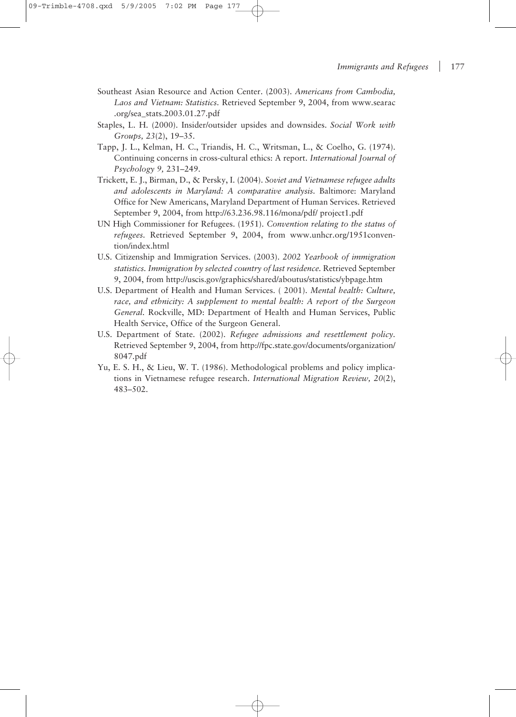- Southeast Asian Resource and Action Center. (2003). *Americans from Cambodia, Laos and Vietnam: Statistics.* Retrieved September 9, 2004, from www.searac .org/sea\_stats.2003.01.27.pdf
- Staples, L. H. (2000). Insider/outsider upsides and downsides. *Social Work with Groups, 23*(2), 19–35.
- Tapp, J. L., Kelman, H. C., Triandis, H. C., Writsman, L., & Coelho, G. (1974). Continuing concerns in cross-cultural ethics: A report. *International Journal of Psychology 9,* 231–249.
- Trickett, E. J., Birman, D., & Persky, I. (2004). *Soviet and Vietnamese refugee adults and adolescents in Maryland: A comparative analysis.* Baltimore: Maryland Office for New Americans, Maryland Department of Human Services. Retrieved September 9, 2004, from http://63.236.98.116/mona/pdf/ project1.pdf
- UN High Commissioner for Refugees. (1951). *Convention relating to the status of refugees.* Retrieved September 9, 2004, from www.unhcr.org/1951convention/index.html
- U.S. Citizenship and Immigration Services. (2003). *2002 Yearbook of immigration statistics. Immigration by selected country of last residence.* Retrieved September 9, 2004, from http://uscis.gov/graphics/shared/aboutus/statistics/ybpage.htm
- U.S. Department of Health and Human Services. ( 2001). *Mental health: Culture, race, and ethnicity: A supplement to mental health: A report of the Surgeon General.* Rockville, MD: Department of Health and Human Services, Public Health Service, Office of the Surgeon General.
- U.S. Department of State. (2002). *Refugee admissions and resettlement policy.* Retrieved September 9, 2004, from http://fpc.state.gov/documents/organization/ 8047.pdf
- Yu, E. S. H., & Lieu, W. T. (1986). Methodological problems and policy implications in Vietnamese refugee research. *International Migration Review, 20*(2), 483–502.